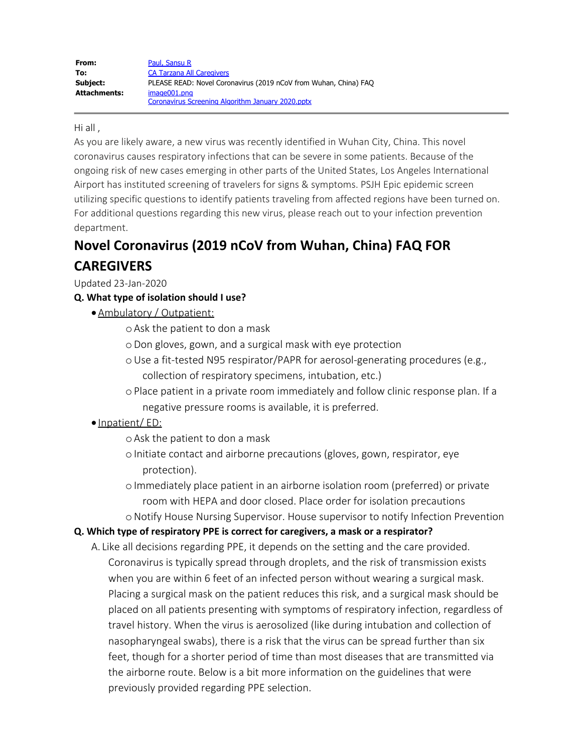#### Hi all ,

As you are likely aware, a new virus was recently identified in Wuhan City, China. This novel coronavirus causes respiratory infections that can be severe in some patients. Because of the ongoing risk of new cases emerging in other parts of the United States, Los Angeles International Airport has instituted screening of travelers for signs & symptoms. PSJH Epic epidemic screen utilizing specific questions to identify patients traveling from affected regions have been turned on. For additional questions regarding this new virus, please reach out to your infection prevention department.

# **Novel Coronavirus (2019 nCoV from Wuhan, China) FAQ FOR**

# **CAREGIVERS**

Updated 23-Jan-2020

## **Q. What type of isolation should I use?**

- ·Ambulatory / Outpatient:
	- oAsk the patient to don a mask
	- oDon gloves, gown, and a surgical mask with eye protection
	- oUse a fit-tested N95 respirator/PAPR for aerosol-generating procedures (e.g., collection of respiratory specimens, intubation, etc.)
	- oPlace patient in a private room immediately and follow clinic response plan. If a negative pressure rooms is available, it is preferred.
- · Inpatient/ ED:
	- oAsk the patient to don a mask
	- o Initiate contact and airborne precautions (gloves, gown, respirator, eye protection).
	- oImmediately place patient in an airborne isolation room (preferred) or private room with HEPA and door closed. Place order for isolation precautions
	- oNotify House Nursing Supervisor. House supervisor to notify Infection Prevention

#### **Q. Which type of respiratory PPE is correct for caregivers, a mask or a respirator?**

A. Like all decisions regarding PPE, it depends on the setting and the care provided. Coronavirus is typically spread through droplets, and the risk of transmission exists when you are within 6 feet of an infected person without wearing a surgical mask. Placing a surgical mask on the patient reduces this risk, and a surgical mask should be placed on all patients presenting with symptoms of respiratory infection, regardless of travel history. When the virus is aerosolized (like during intubation and collection of nasopharyngeal swabs), there is a risk that the virus can be spread further than six feet, though for a shorter period of time than most diseases that are transmitted via the airborne route. Below is a bit more information on the guidelines that were previously provided regarding PPE selection.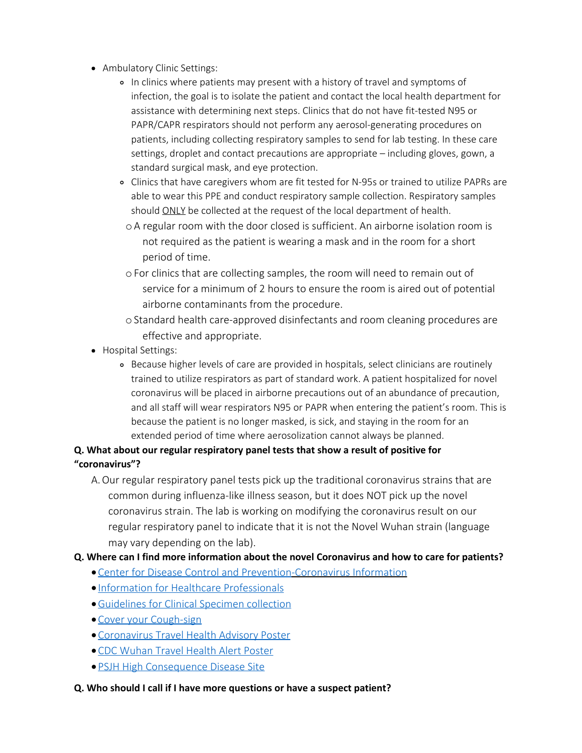- Ambulatory Clinic Settings:
	- In clinics where patients may present with a history of travel and symptoms of infection, the goal is to isolate the patient and contact the local health department for assistance with determining next steps. Clinics that do not have fit-tested N95 or PAPR/CAPR respirators should not perform any aerosol-generating procedures on patients, including collecting respiratory samples to send for lab testing. In these care settings, droplet and contact precautions are appropriate – including gloves, gown, a standard surgical mask, and eye protection.
	- Clinics that have caregivers whom are fit tested for N-95s or trained to utilize PAPRs are able to wear this PPE and conduct respiratory sample collection. Respiratory samples should ONLY be collected at the request of the local department of health.
		- oA regular room with the door closed is sufficient. An airborne isolation room is not required as the patient is wearing a mask and in the room for a short period of time.
		- oFor clinics that are collecting samples, the room will need to remain out of service for a minimum of 2 hours to ensure the room is aired out of potential airborne contaminants from the procedure.
		- oStandard health care-approved disinfectants and room cleaning procedures are effective and appropriate.
- Hospital Settings:
	- Because higher levels of care are provided in hospitals, select clinicians are routinely trained to utilize respirators as part of standard work. A patient hospitalized for novel coronavirus will be placed in airborne precautions out of an abundance of precaution, and all staff will wear respirators N95 or PAPR when entering the patient's room. This is because the patient is no longer masked, is sick, and staying in the room for an extended period of time where aerosolization cannot always be planned.

# **Q. What about our regular respiratory panel tests that show a result of positive for "coronavirus"?**

A.Our regular respiratory panel tests pick up the traditional coronavirus strains that are common during influenza-like illness season, but it does NOT pick up the novel coronavirus strain. The lab is working on modifying the coronavirus result on our regular respiratory panel to indicate that it is not the Novel Wuhan strain (language may vary depending on the lab).

## **Q. Where can I find more information about the novel Coronavirus and how to care for patients?**

- · [Center for Disease Control and Prevention](https://www.cdc.gov/coronavirus/index.html)-Coronavirus Information
- · [Information for Healthcare Professionals](https://www.cdc.gov/coronavirus/2019-nCoV/guidance-hcp.htmlhttps:/www.cdc.gov/coronavirus/2019-nCoV/guidance-hcp.html)
- ·[Guidelines for Clinical Specimen collection](https://www.cdc.gov/coronavirus/2019-nCoV/guidance-laboratories.html)
- · [Cover your Cough-sign](https://www.doh.wa.gov/ForPublicHealthandHealthcareProviders/EmergencyPreparedness/MedicationHealthCareCenters/Signs/CoverYourCough)
- · [Coronavirus Travel Health Advisory Poster](https://caregiverheadlines.org/wp-content/uploads/2020/01/HealthAdvisory_Travel_Coronavirus_14days.pdf)
- · [CDC Wuhan Travel Health Alert Poster](https://caregiverheadlines.org/wp-content/uploads/2020/01/CDC-Wuhan-Travel-Health-Alert.pdf)
- · [PSJH High Consequence Disease Site](https://sssteams.providence.org/sites/infectionprevention/HighConsequenceInfectiousDiseases/SitePages/Home.aspx)

#### **Q. Who should I call if I have more questions or have a suspect patient?**